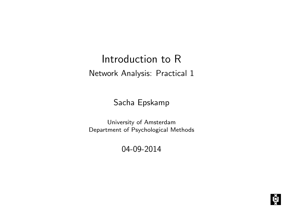# Introduction to R Network Analysis: Practical 1

Sacha Epskamp

University of Amsterdam Department of Psychological Methods

04-09-2014

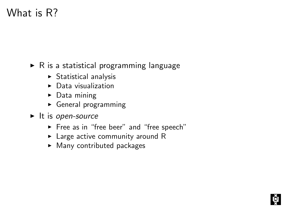# What is R?

 $\triangleright$  R is a statistical programming language

- $\triangleright$  Statistical analysis
- $\triangleright$  Data visualization
- $\triangleright$  Data mining
- $\triangleright$  General programming
- $\blacktriangleright$  It is open-source
	- ► Free as in "free beer" and "free speech"
	- $\blacktriangleright$  Large active community around R
	- $\blacktriangleright$  Many contributed packages

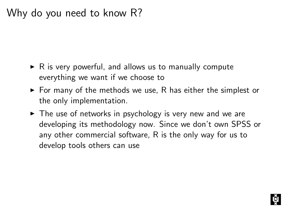# Why do you need to know R?

- $\triangleright$  R is very powerful, and allows us to manually compute everything we want if we choose to
- $\triangleright$  For many of the methods we use, R has either the simplest or the only implementation.
- $\triangleright$  The use of networks in psychology is very new and we are developing its methodology now. Since we don't own SPSS or any other commercial software, R is the only way for us to develop tools others can use

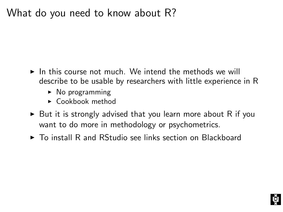# What do you need to know about R?

- $\blacktriangleright$  In this course not much. We intend the methods we will describe to be usable by researchers with little experience in R
	- $\triangleright$  No programming
	- $\triangleright$  Cookbook method
- $\triangleright$  But it is strongly advised that you learn more about R if you want to do more in methodology or psychometrics.
- $\triangleright$  To install R and RStudio see links section on Blackboard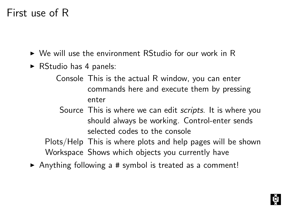## First use of R

- $\triangleright$  We will use the environment RStudio for our work in R
- $\triangleright$  RStudio has 4 panels:
	- Console This is the actual R window, you can enter commands here and execute them by pressing enter
		- Source This is where we can edit *scripts*. It is where you should always be working. Control-enter sends selected codes to the console

Plots/Help This is where plots and help pages will be shown Workspace Shows which objects you currently have

 $\triangleright$  Anything following a # symbol is treated as a comment!

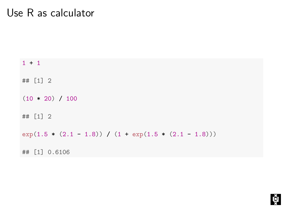#### Use R as calculator

 $1 + 1$ ## [1] 2  $(10 * 20) / 100$ ## [1] 2 exp(1.5 \*  $(2.1 - 1.8)$ ) /  $(1 + \exp(1.5 * (2.1 - 1.8)))$ ## [1] 0.6106

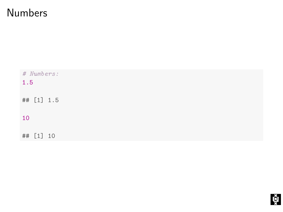# Numbers

| # Numbers:<br>1.5 |  |
|-------------------|--|
| ## [1] 1.5        |  |
| 10                |  |
| ## [1] 10         |  |

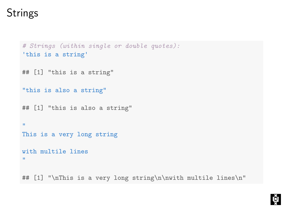# **Strings**

```
# Strings (within single or double quotes):
'this is a string'
## [1] "this is a string"
"this is also a string"
## [1] "this is also a string"
"
This is a very long string
with multile lines
"
## [1] "\nThis is a very long string\n\nwith multile lines\n"
```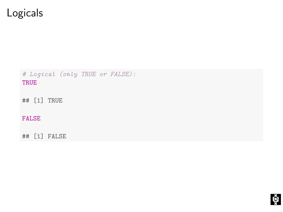# Logicals

# Logical (only TRUE or FALSE): TRUE

## [1] TRUE

FALSE

## [1] FALSE

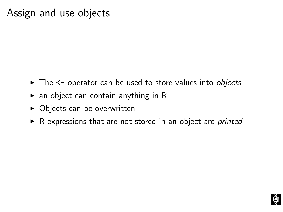## Assign and use objects

- The <- operator can be used to store values into objects
- $\triangleright$  an object can contain anything in R
- $\triangleright$  Objects can be overwritten
- $\triangleright$  R expressions that are not stored in an object are *printed*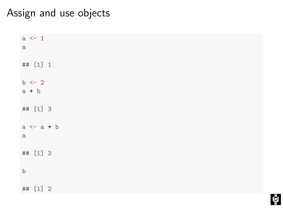### Assign and use objects

| $a \leftarrow 1$<br>$\rm a$      |  |
|----------------------------------|--|
| ## [1] 1                         |  |
| $b \leftarrow 2$<br>$a + b$      |  |
| ## [1] 3                         |  |
| $a \leftarrow a + b$<br>$\rm{a}$ |  |
| ## [1] 3                         |  |
| $\rm b$                          |  |
| ## [1] 2                         |  |

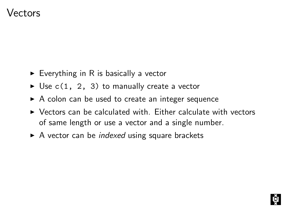#### Vectors

- $\triangleright$  Everything in R is basically a vector
- $\triangleright$  Use c(1, 2, 3) to manually create a vector
- $\triangleright$  A colon can be used to create an integer sequence
- $\triangleright$  Vectors can be calculated with. Either calculate with vectors of same length or use a vector and a single number.
- $\triangleright$  A vector can be *indexed* using square brackets

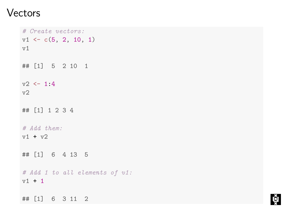#### Vectors

```
# Create vectors:
v1 \leftarrow c(5, 2, 10, 1)v<sub>1</sub>## [1] 5 2 10 1
v2 < -1.4v<sub>2</sub>## [1] 1 2 3 4
# Add them:
v1 + v2
## [1] 6 4 13 5
# Add 1 to all elements of v1:
v1 + 1## [1] 6 3 11 2
```
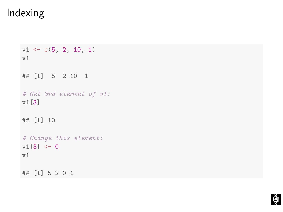# Indexing

```
v1 \leftarrow c(5, 2, 10, 1)v1
## [1] 5 2 10 1
# Get 3rd element of v1:
v1[3]
## [1] 10
# Change this element:
v1[3] < -0v1
## [1] 5 2 0 1
```
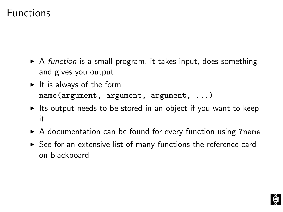### Functions

- $\triangleright$  A function is a small program, it takes input, does something and gives you output
- $\blacktriangleright$  It is always of the form name(argument, argument, argument, ...)
- $\blacktriangleright$  Its output needs to be stored in an object if you want to keep it
- $\triangleright$  A documentation can be found for every function using ?name
- $\triangleright$  See for an extensive list of many functions the reference card on blackboard

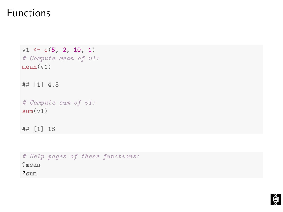### Functions

```
v1 \leftarrow c(5, 2, 10, 1)# Compute mean of v1:
mean(v1)## [1] 4.5
# Compute sum of v1:
sum(v1)## [1] 18
```

```
# Help pages of these functions:
?mean
?sum
```
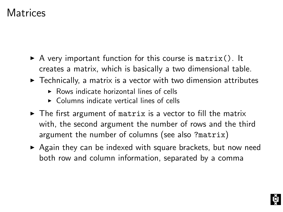## **Matrices**

- $\triangleright$  A very important function for this course is matrix(). It creates a matrix, which is basically a two dimensional table.
- $\triangleright$  Technically, a matrix is a vector with two dimension attributes
	- $\triangleright$  Rows indicate horizontal lines of cells
	- $\triangleright$  Columns indicate vertical lines of cells
- $\triangleright$  The first argument of matrix is a vector to fill the matrix with, the second argument the number of rows and the third argument the number of columns (see also ?matrix)
- $\triangleright$  Again they can be indexed with square brackets, but now need both row and column information, separated by a comma

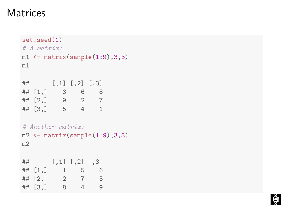## **Matrices**

```
set.seed(1)
# A matrix in.ml \leftarrow matrix(sample(1:9),3,3)m1
## [,1] [,2] [,3]
## [1,] 3 6 8
## [2,] 9 2 7
## [3,] 5 4 1
# Another matrix:
m2 \leftarrow matrix(sample(1:9),3,3)m2
## [,1] [,2] [,3]
## [1,] 1 5 6
## [2,] 2 7 3
## [3,] 8 4 9
```
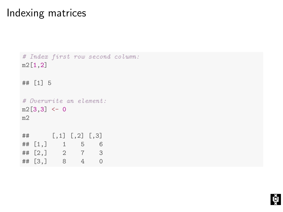## Indexing matrices

```
# Index first row second column:
m2[1,2]
## [1] 5
# Overwrite an element:
m2[3,3] <- 0
m2
## [,1] [,2] [,3]
## [1,] 1 5 6
## [2,] 2 7 3
## [3,] 8 4 0
```
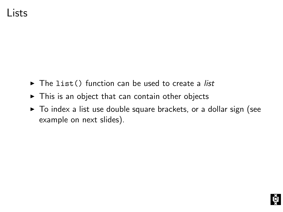- $\triangleright$  The list() function can be used to create a list
- $\triangleright$  This is an object that can contain other objects
- $\triangleright$  To index a list use double square brackets, or a dollar sign (see example on next slides).

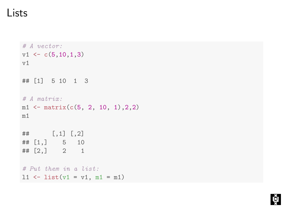#### Lists

```
# A vector:
v1 \leftarrow c(5, 10, 1, 3)v1
## [1] 5 10 1 3
# A matrix:
ml \leftarrow matrix(c(5, 2, 10, 1), 2, 2)m1
## [,1] [,2]
## [1,] 5 10
\# [2,] 2 1
# Put them in a list:
11 \leftarrow list(v1 = v1, m1 = m1)
```
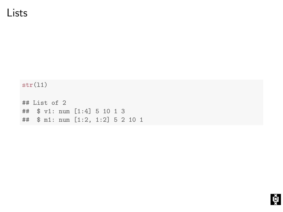#### Lists

 $str(11)$ 

## List of 2 ## \$ v1: num [1:4] 5 10 1 3 ## \$ m1: num [1:2, 1:2] 5 2 10 1

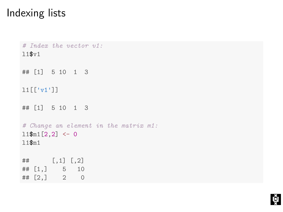# Indexing lists

```
# Index the vector v1:
l1$v1
## [1] 5 10 1 3
l1[['v1']]
## [1] 5 10 1 3
# Change an element in the matrix m1:
11$m1[2,2] <- 0
l1$m1
## [,1] [,2]
## [1,] 5 10
## [2,] 2 0
```
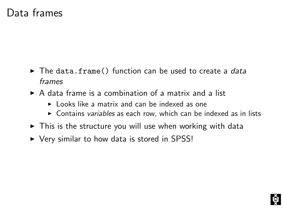## Data frames

- $\triangleright$  The data.frame() function can be used to create a data frames
- $\triangleright$  A data frame is a combination of a matrix and a list
	- $\blacktriangleright$  Looks like a matrix and can be indexed as one
	- $\triangleright$  Contains variables as each row, which can be indexed as in lists
- $\blacktriangleright$  This is the structure you will use when working with data
- $\triangleright$  Very similar to how data is stored in SPSS!

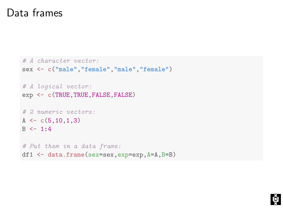## Data frames

```
# A character vector:
sex <- c("male","female","male","female")
# A logical vector:
exp <- c(TRUE,TRUE,FALSE,FALSE)
# 2 numeric vectors:
A \leftarrow c(5, 10, 1, 3)B \le -1.4# Put them in a data frame:
df1 <- data.frame(sex=sex,exp=exp,A=A,B=B)
```
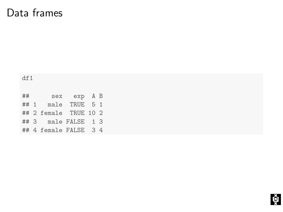# Data frames

| df1 |  |                       |  |  |  |  |  |  |  |
|-----|--|-----------------------|--|--|--|--|--|--|--|
|     |  | ## sex exp A B        |  |  |  |  |  |  |  |
|     |  | ## 1 male TRUE 5 1    |  |  |  |  |  |  |  |
|     |  | ## 2 female TRUE 10 2 |  |  |  |  |  |  |  |
|     |  | ## 3 male FALSE 1 3   |  |  |  |  |  |  |  |
|     |  | ## 4 female FALSE 3 4 |  |  |  |  |  |  |  |

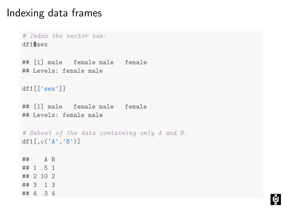### Indexing data frames

```
# Index the vector sex:
df1$sex
## [1] male female male female
## Levels: female male
df1[['sex']]
## [1] male female male female
## Levels: female male
# Subset of the data containing only A and B:
df1[,c('A','B')]
## A B
## 1 5 1
## 2 10 2
## 3 1 3
## 4 3 4
```
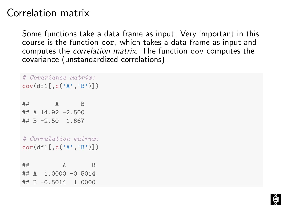# Correlation matrix

Some functions take a data frame as input. Very important in this course is the function cor, which takes a data frame as input and computes the correlation matrix. The function cov computes the covariance (unstandardized correlations).

```
# Covariance matrix:
cov(df1[,c('A','B')])
## A B
## A 14.92 -2.500
## B -2.50 1.667
# Correlation matrix:
cor(df1[,c('A','B')])
\## A B
## A 1.0000 -0.5014
## B -0.5014 1.0000
```
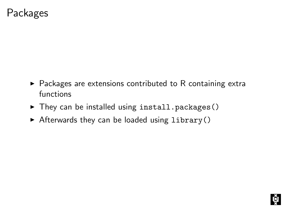### Packages

- $\blacktriangleright$  Packages are extensions contributed to R containing extra functions
- $\blacktriangleright$  They can be installed using install.packages()
- $\triangleright$  Afterwards they can be loaded using library()

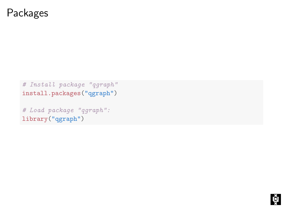#### Packages

# Install package "qgraph" install.packages("qgraph")

# Load package "qgraph": library("qgraph")

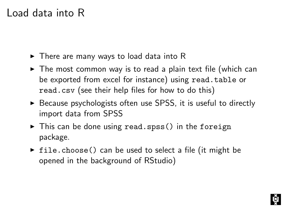# Load data into R

- $\triangleright$  There are many ways to load data into R
- $\triangleright$  The most common way is to read a plain text file (which can be exported from excel for instance) using read.table or read.csv (see their help files for how to do this)
- $\triangleright$  Because psychologists often use SPSS, it is useful to directly import data from SPSS
- $\triangleright$  This can be done using read.spss() in the foreign package.
- $\triangleright$  file.choose() can be used to select a file (it might be opened in the background of RStudio)

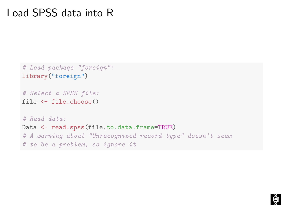### Load SPSS data into R

```
# Load package "foreign":
library("foreign")
```

```
# Select a SPSS file:
file <- file.choose()
```
# Read data: Data  $\leq$  read.spss(file, to.data.frame=TRUE) # A warning about "Unrecognized record type" doesn't seem # to be a problem, so ignore it